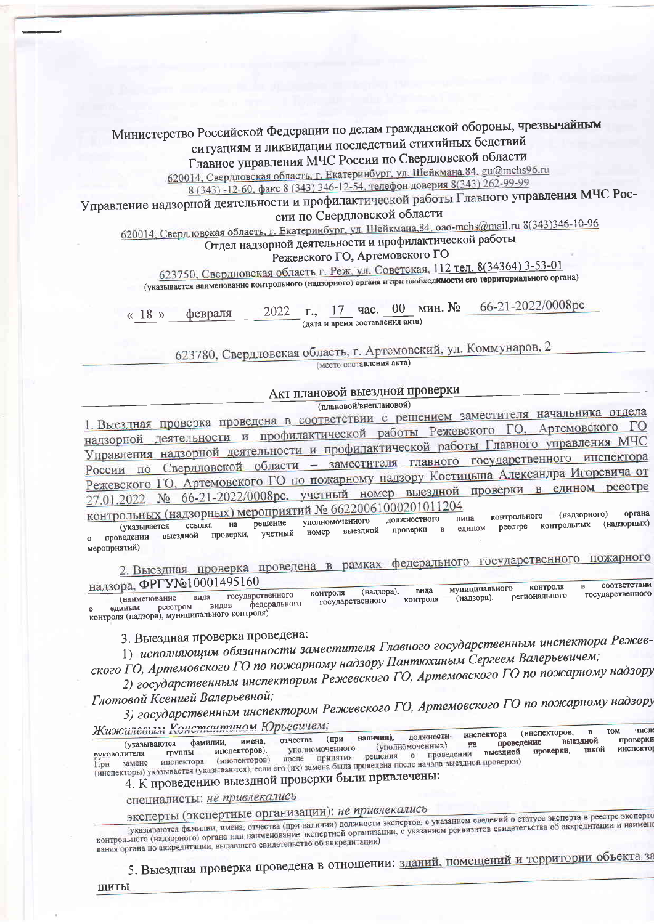Министерство Российской Федерации по делам гражданской обороны, чрезвычайным ситуациям и ликвидации последствий стихийных бедствий

Главное управления МЧС России по Свердловской области

620014, Свердловская область, г. Екатеринбург, ул. Шейкмана, 84, gu@mchs96.ru 8 (343) - 12-60, факс 8 (343) 346-12-54, телефон доверия 8 (343) 262-99-99

Управление надзорной деятельности и профилактической работы Главного управления МЧС Рос-

сии по Свердловской области

620014, Свердловская область, г. Екатеринбург, ул. Шейкмана, 84, оао-mchs@mail.ru 8(343)346-10-96

Отдел надзорной деятельности и профилактической работы

Режевского ГО, Артемовского ГО

623750, Свердловская область г. Реж, ул. Советская, 112 тел. 8(34364) 3-53-01

(указывается наименование контрольного (надзорного) органа и при необходимости его территориального органа)

66-21-2022/0008pc г., 17 час. 00 мин.  $N_2$ 2022 февраля  $\langle \langle 18 \rangle \rangle$ (дата и время составления акта)

623780, Свердловская область, г. Артемовский, ул. Коммунаров, 2 (место составления акта)

Акт плановой выездной проверки

(плановой/внеплановой)

1. Выездная проверка проведена в соответствии с решением заместителя начальника отдела надзорной деятельности и профилактической работы Режевского ГО, Артемовского Управления надзорной деятельности и профилактической работы Главного управления МЧС по Свердловской области - заместителя главного государственного инспектора Режевского ГО, Артемовского ГО по пожарному надзору Костицына Александра Игоревича от 27.01.2022 № 66-21-2022/0008рс, учетный номер выездной проверки контрольных (надзорных) мероприятий № 66220061000201011204 органа

(налзорного) контрольного лица уполномоченного должностного решение (надзорных) Ha (указывается ссылка контрольных реестре едином выездной проверки  $\overline{B}$ проверки, учетный номер выездной проведении  $\Omega$ мероприятий)

в рамках федерального государственного пожарного 2. Выездная проверка проведена надзора, ФРГУ№10001495160 соответствии

контроля муниципального (надзора), вида контроля государственного государственного регионального (наименование вида (надзора), контроля государственного федерального реестром видов единым контроля (надзора), муниципального контроля)

3. Выездная проверка проведена:

1) исполняющим обязанности заместителя Главного государственным инспектора Режевского ГО, Артемовского ГО по пожарному надзору Пантюхиным Сергеем Валерьевичем;

2) государственным инспектором Режевского ГО, Артемовского ГО по пожарному надзору

Глотовой Ксенией Валерьевной; 3) государственным инспектором Режевского ГО, Артемовского ГО по пожарному надзору

Жижилевым Константином Юрьевичем; числ (инспекторов, лолжностиинспектора наличии), имена, отчества (при выездной проверки (указываются фамилии, проведение (уполномоченных)  $_{\rm H2}$ уполномоченного инспекто руковолителя<br>При замене инспекторов), такой группы решения о проведении выездной проверки, после принятия (инспекторы) указывается (указываются), если его (их) замена была проведена после начала выездной проверки)

4. К проведению выездной проверки были привлечены:

специалисты: не привлекались

эксперты (экспертные организации): не привлекались

(указываются фамилии, имена, отчества (при наличии) должности экспертов, с указанием сведений о статусе эксперта в реестре эксперто контрольного (надзорного) органа или наименование экспертной организации, с указанием реквизитов свидетельства об аккредитации и наименование вания органа по аккредитации, выдавшего свидетельство об аккредитации)

5. Выездная проверка проведена в отношении: зданий, помещений и территории объекта за

ШИТЫ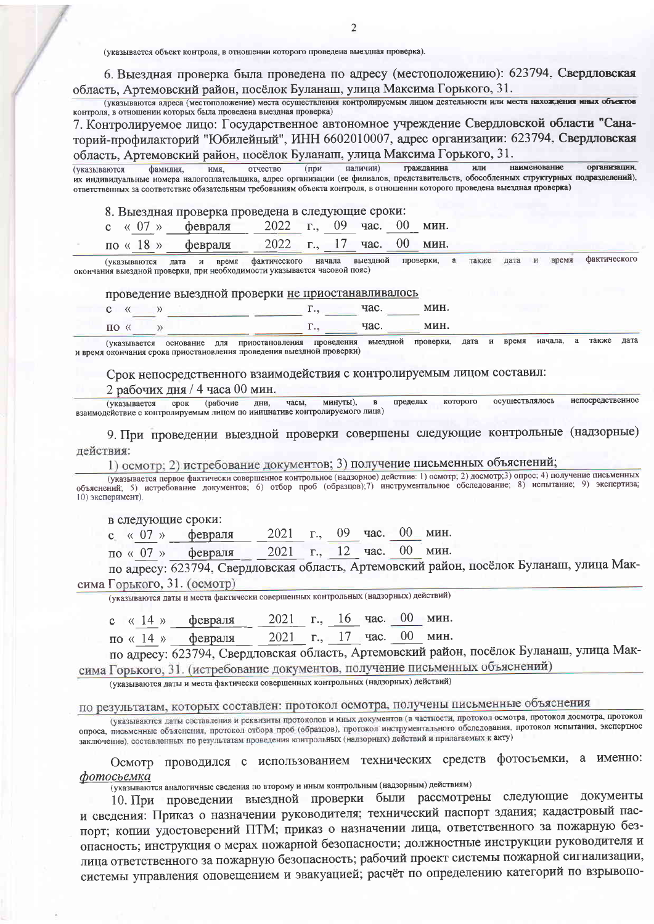(указывается объект контроля, в отношении которого проведена выездная проверка).

6. Выездная проверка была проведена по адресу (местоположению): 623794. Свердловская область, Артемовский район, посёлок Буланаш, улица Максима Горького, 31.

(указываются адреса (местоположение) места осуществления контролируемым лицом деятельности или места нахождения иных объектов контроля, в отношении которых была проведена выездная проверка)

7. Контролируемое лицо: Государственное автономное учреждение Свердловской области "Санаторий-профилакторий "Юбилейный", ИНН 6602010007, адрес организации: 623794, Свердловская область, Артемовский район, посёлок Буланаш, улица Максима Горького, 31.

гражданина (при наличии) или наименование организации. фамилия. имя, отчество (указываются их индивидуальные номера налогоплательщика, адрес организации (ее филиалов, представительств, обособленных структурных подразделений), ответственных за соответствие обязательным требованиям объекта контроля, в отношении которого проведена выездная проверка)

8. Выездная проверка проведена в следующие сроки:

| с « 07 » февраля 2022 г., 09 час. 00 мин. |  |  |  |
|-------------------------------------------|--|--|--|
| по «18» февраля 2022 г., 17 час. 00 мин.  |  |  |  |

время фактического  $\mathbf{H}$ фактического начала выездной проверки. также лата  $^{12}$ (указываются лата время окончания выездной проверки, при необходимости указывается часовой пояс)

## проведение выездной проверки не приостанавливалось

|      |  | $\mathbf{1}$ | -----       | 88 14 L     |
|------|--|--------------|-------------|-------------|
| ** 0 |  | .            | TIOO<br>uv. | <b>MITH</b> |

начала. также дата (указывается основание для приостановления проведения выездной проверки, дата и время и время окончания срока приостановления проведения выездной проверки)

## Срок непосредственного взаимодействия с контролируемым лицом составил:

## 2 рабочих дня / 4 часа 00 мин.

осуществлялось непосредственное (рабочие дни, минуты), пределах которого (указывается срок часы, взаимодействие с контролируемым лицом по инициативе контролируемого лица)

9. При проведении выездной проверки совершены следующие контрольные (надзорные) действия:

1) осмотр; 2) истребование документов; 3) получение письменных объяснений;

(указывается первое фактически совершенное контрольное (надзорное) действие: 1) осмотр; 2) досмотр; 3) опрос; 4) получение письменных объяснений; 5) истребование документов; 6) отбор проб (образцов); 7) инструментальное о

в следующие сроки:

2021 г., 09 час.  $00$  мин. февраля c  $\ll 07$  »

2021 г., 12 час. 00 мин. февраля  $\pi$ o « 07 »

по адресу: 623794, Свердловская область, Артемовский район, посёлок Буланаш, улица Максима Горького, 31. (осмотр)

(указываются даты и места фактически совершенных контрольных (надзорных) действий)

2021 г., 16 час. 00 мин. с « 14 » февраля

2021 г., 17 час. 00 мин. по «14» февраля

по адресу: 623794, Свердловская область, Артемовский район, посёлок Буланаш, улица Максима Горького, 31. (истребование документов, получение письменных объяснений)

(указываются даты и места фактически совершенных контрольных (надзорных) действий)

## по результатам, которых составлен: протокол осмотра, получены письменные объяснения

(указываются даты составления и реквизиты протоколов и иных документов (в частности, протокол осмотра, протокол досмотра, протокол опроса, письменные объяснения, протокол отбора проб (образцов), протокол инструментального обследования, протокол испытания, экспертное заключение), составленных по результатам проведения контрольных (надзорных) действий и прилагаемых к акту)

Осмотр проводился с использованием технических средств фотосъемки, а именно: фотосьемка

(указываются аналогичные сведения по второму и иным контрольным (надзорным) действиям)

10. При проведении выездной проверки были рассмотрены следующие документы и сведения: Приказ о назначении руководителя; технический паспорт здания; кадастровый паспорт; копии удостоверений ПТМ; приказ о назначении лица, ответственного за пожарную безопасность; инструкция о мерах пожарной безопасности; должностные инструкции руководителя и лица ответственного за пожарную безопасность; рабочий проект системы пожарной сигнализации, системы управления оповещением и эвакуацией; расчёт по определению категорий по взрывопо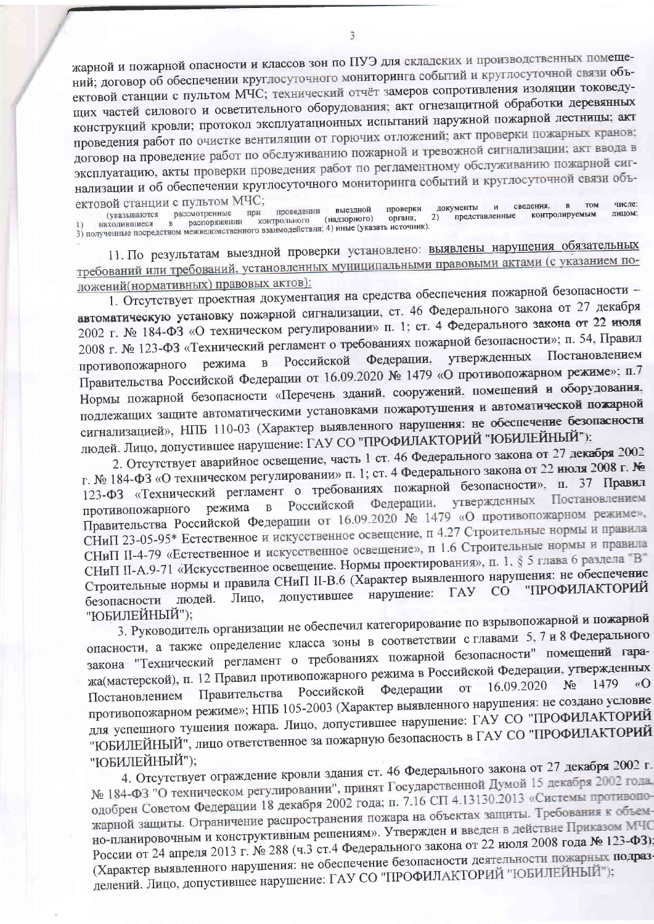жарной и пожарной опасности и классов зон по ПУЭ для складских и производственных помещений; договор об обеспечении круглосуточного мониторинга событий и круглосуточной связи объектовой станции с пультом МЧС; технический отчёт замеров сопротивления изоляции токоведущих частей силового и осветительного оборудования; акт огнезащитной обработки деревянных конструкций кровли; протокол эксплуатационных испытаний наружной пожарной лестницы: акт проведения работ по очистке вентиляции от горючих отложений; акт проверки пожарных кранов; договор на проведение работ по обслуживанию пожарной и тревожной сигнализации; акт ввода в эксплуатацию, акты проверки проведения работ по регламентному обслуживанию пожарной сигнализации и об обеспечении круглосуточного мониторинга событий и круглосуточной связи объектовой станции с пультом МЧС: числе: **TOM** 

B nachon (указываются рассмотренные при проведении выездной проверки<br>1) находившиеся в распоряжении контрольного (надзорного) органа;<br>3) полученные посредством межведомственного взаимодействия; 4) иные (указать источник). сведения. документы  $\overline{M}$ лицом: представленные контролируемым  $2\overline{)}$ 

11. По результатам выездной проверки установлено: выявлены нарушения обязательных требований или требований, установленных муниципальными правовыми актами (с указанием положений(нормативных) правовых актов):

1. Отсутствует проектная документация на средства обеспечения пожарной безопасности автоматическую установку пожарной сигнализации, ст. 46 Федерального закона от 27 декабря 2002 г. № 184-ФЗ «О техническом регулировании» п. 1; ст. 4 Федерального закона от 22 июля 2008 г. № 123-ФЗ «Технический регламент о требованиях пожарной безопасности»; п. 54, Правил Постановлением Федерации, утвержденных в Российской режима противопожарного Правительства Российской Федерации от 16.09.2020 № 1479 «О противопожарном режиме»; п.7 Нормы пожарной безопасности «Перечень зданий, сооружений, помещений и оборудования, подлежащих защите автоматическими установками пожаротушения и автоматической пожарной сигнализацией», НПБ 110-03 (Характер выявленного нарушения: не обеспечение безопасности людей. Лицо, допустившее нарушение: ГАУ СО "ПРОФИЛАКТОРИЙ "ЮБИЛЕЙНЫЙ");

2. Отсутствует аварийное освещение, часть 1 ст. 46 Федерального закона от 27 декабря 2002 г. № 184-ФЗ «О техническом регулировании» п. 1; ст. 4 Федерального закона от 22 июля 2008 г. № 123-ФЗ «Технический регламент о требованиях пожарной безопасности». п. 37 Правил Постановлением утвержденных Федерации, Российской режима  $\mathbf{B}$ противопожарного Правительства Российской Федерации от 16.09.2020 № 1479 «О противопожарном режиме», СНиП 23-05-95\* Естественное и искусственное освещение, п 4.27 Строительные нормы и правила СНиП II-4-79 «Естественное и искусственное освещение», п 1.6 Строительные нормы и правила СНиП II-А.9-71 «Искусственное освещение. Нормы проектирования», п. 1, § 5 глава 6 раздела "В" Строительные нормы и правила СНиП II-В.6 (Характер выявленного нарушения: не обеспечение "ПРОФИЛАКТОРИЙ нарушение:  $\Gamma A$  $CO$ допустившее людей. Лицо, безопасности "ЮБИЛЕЙНЫЙ");

3. Руководитель организации не обеспечил категорирование по взрывопожарной и пожарной опасности, а также определение класса зоны в соответствии с главами 5, 7 и 8 Федерального закона "Технический регламент о требованиях пожарной безопасности" помещений гаража(мастерской), п. 12 Правил противопожарного режима в Российской Федерации, утвержденных 16.09.2020  $N_2$ Федерации **OT** Российской Правительства Постановлением противопожарном режиме»; НПБ 105-2003 (Характер выявленного нарушения: не создано условие для успешного тушения пожара. Лицо, допустившее нарушение: ГАУ СО "ПРОФИЛАКТОРИЙ "ЮБИЛЕЙНЫЙ", лицо ответственное за пожарную безопасность в ГАУ СО "ПРОФИЛАКТОРИЙ "ЮБИЛЕЙНЫЙ");

4. Отсутствует ограждение кровли здания ст. 46 Федерального закона от 27 декабря 2002 г. № 184-ФЗ "О техническом регулировании", принят Государственной Думой 15 декабря 2002 года, одобрен Советом Федерации 18 декабря 2002 года; п. 7.16 СП 4.13130.2013 «Системы противопожарной защиты. Ограничение распространения пожара на объектах защиты. Требования к объемно-планировочным и конструктивным решениям». Утвержден и введен в действие Приказом МЧС России от 24 апреля 2013 г. № 288 (ч.3 ст.4 Федерального закона от 22 июля 2008 года № 123-ФЗ): (Характер выявленного нарушения: не обеспечение безопасности деятельности пожарных подразделений. Лицо, допустившее нарушение: ГАУ СО "ПРОФИЛАКТОРИЙ "ЮБИЛЕЙНЫЙ");

 $\overline{a}$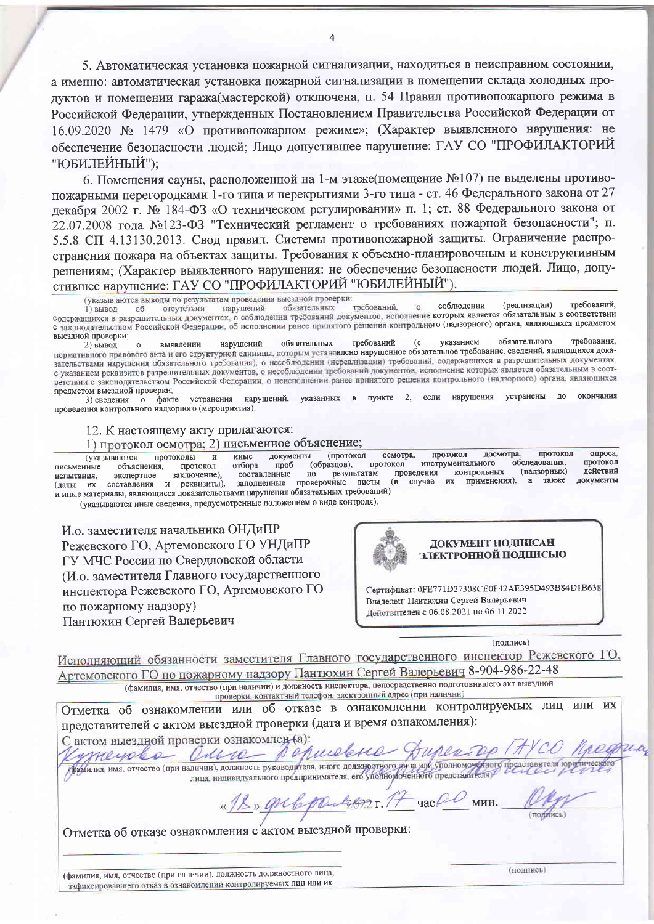5. Автоматическая установка пожарной сигнализации, находиться в неисправном состоянии, а именно: автоматическая установка пожарной сигнализации в помещении склада холодных продуктов и помещении гаража(мастерской) отключена, п. 54 Правил противопожарного режима в Российской Федерации, утвержденных Постановлением Правительства Российской Федерации от 16.09.2020 № 1479 «О противопожарном режиме»; (Характер выявленного нарушения: не обеспечение безопасности людей; Лицо допустившее нарушение: ГАУ СО "ПРОФИЛАКТОРИЙ "ЮБИЛЕЙНЫЙ"):

6. Помещения сауны, расположенной на 1-м этаже(помещение №107) не выделены противопожарными перегородками 1-го типа и перекрытиями 3-го типа - ст. 46 Федерального закона от 27 декабря 2002 г. № 184-ФЗ «О техническом регулировании» п. 1: ст. 88 Федерального закона от 22.07.2008 года №123-ФЗ "Технический регламент о требованиях пожарной безопасности"; п. 5.5.8 СП 4.13130.2013. Свод правил. Системы противопожарной защиты. Ограничение распространения пожара на объектах защиты. Требования к объемно-планировочным и конструктивным решениям; (Характер выявленного нарушения: не обеспечение безопасности людей. Лицо, допустившее нарушение: ГАУ СО "ПРОФИЛАКТОРИЙ "ЮБИЛЕЙНЫЙ").

указыв аются выводы по результатам проведения выездной проверки:

(реализации) требований. требований. соблюдении нарушений отсутствии обязательных  $\alpha$ 1) вывод  $06$ содержащихся в разрешительных документах, о соблюдении требований документов, исполнение которых является обязательным в соответствии с законодательством Российской Федерации, об исполнении ранее принятого решения контрольного (надзорного) органа, являющихся предметом выездной проверки;

требования. требований обязательного указанием  $(c)$ 2) вывод выявлении нарушений обязательных иренного преспользования, парушения с отлученных преоцентами с указанием ослужательного преоцентия, нормативного правового акта и его структурной единицы, которым установлено нарушенное обязательное требование, сведений, с указанием реквизитов разрешительных документов, о несоблюдении требований документов, исполнение которых является обязательным в соответствии с законодательством Российской Федерации, о неисполнении ранее принятого решения контрольного (надзорного) органа, являющихся предметом выездной проверки;

факте устранения нарушений, указанных в пункте 2, если нарушения устранены ОКОНЧАНИЯ  $\overline{a}$  $3)$  свеления о проведения контрольного надзорного (мероприятия).

12. К настоящему акту прилагаются:

1) протокол осмотра; 2) письменное объяснение;

опроса. протокол протокол осмотра, (указываются протоколы иные документы (протокол лосмотва  $\mathbf{M}$ обследования, протокол (образцов), протокол инструментального отбора проб объяснения протокол письменные действий (надзорных) **КОНТРОЛЬНЫХ** составленные результатам проведения заключение),  $\Pi\mathrm{O}$ испытания. экспертное также локументы случае их применения).  $\mathbf{a}$ проверочные листы  $(B)$ (даты их составления и реквизиты), заполненные и иные материалы, являющиеся доказательствами нарушения обязательных требований)

(указываются иные сведения, предусмотренные положением о виде контроля).

И.о. заместителя начальника ОНДиПР Режевского ГО, Артемовского ГО УНДиПР ГУ МЧС России по Свердловской области (И.о. заместителя Главного государственного инспектора Режевского ГО, Артемовского ГО по пожарному надзору) Пантюхин Сергей Валерьевич



Сертификат: 0FE771D27308CE0F42AE395D493B84D1B638 Владелец: Пантюхин Сергей Валерьевич Действителен с 06.08.2021 по 06.11.2022

(полпись)

Исполняющий обязанности заместителя Главного государственного инспектор Режевского ГО. Артемовского ГО по пожарному надзору Пантюхин Сергей Валерьевич 8-904-986-22-48 (фамилия, имя, отчество (при наличии) и должность инспектора, непосредственно подготовившего акт выездной

проверки, контактный телефон, электронный адрес (при наличии)

Отметка об ознакомлении или об отказе в ознакомлении контролируемых лиц или их представителей с актом выездной проверки (дата и время ознакомления): С актом выездной проверки ознакомлен-(а):

purelene aucre  $\rho$ meyole деренния, имя, отчество (при наличии), должность руководителя, иного должностного дица или уполномоченного представителя юри-

 $14$  час  $00$  мин. Mul2022 1. 12» grelo

(полинсь)

Отметка об отказе ознакомления с'актом выездной проверки:

(фамилия, имя, отчество (при наличии), должность должностного лица, зафиксировавшего отказ в ознакомлении контролируемых лиц или их

(подпись)